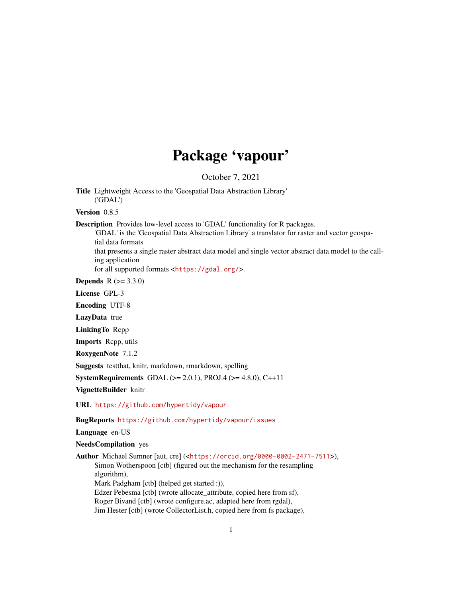# Package 'vapour'

October 7, 2021

Title Lightweight Access to the 'Geospatial Data Abstraction Library' ('GDAL')

Version 0.8.5

Description Provides low-level access to 'GDAL' functionality for R packages.

'GDAL' is the 'Geospatial Data Abstraction Library' a translator for raster and vector geospatial data formats

that presents a single raster abstract data model and single vector abstract data model to the calling application

for all supported formats <<https://gdal.org/>>.

**Depends** R  $(>= 3.3.0)$ 

License GPL-3

Encoding UTF-8

LazyData true

LinkingTo Rcpp

Imports Rcpp, utils

RoxygenNote 7.1.2

Suggests testthat, knitr, markdown, rmarkdown, spelling

**SystemRequirements** GDAL ( $>= 2.0.1$ ), PROJ.4 ( $>= 4.8.0$ ), C $++11$ 

VignetteBuilder knitr

URL <https://github.com/hypertidy/vapour>

BugReports <https://github.com/hypertidy/vapour/issues>

Language en-US

NeedsCompilation yes

Author Michael Sumner [aut, cre] (<<https://orcid.org/0000-0002-2471-7511>>), Simon Wotherspoon [ctb] (figured out the mechanism for the resampling algorithm), Mark Padgham [ctb] (helped get started :)), Edzer Pebesma [ctb] (wrote allocate\_attribute, copied here from sf), Roger Bivand [ctb] (wrote configure.ac, adapted here from rgdal), Jim Hester [ctb] (wrote CollectorList.h, copied here from fs package),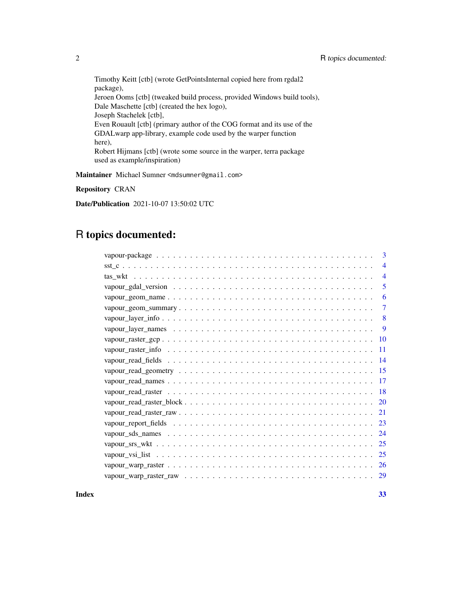Timothy Keitt [ctb] (wrote GetPointsInternal copied here from rgdal2 package), Jeroen Ooms [ctb] (tweaked build process, provided Windows build tools), Dale Maschette [ctb] (created the hex logo), Joseph Stachelek [ctb], Even Rouault [ctb] (primary author of the COG format and its use of the GDALwarp app-library, example code used by the warper function here), Robert Hijmans [ctb] (wrote some source in the warper, terra package used as example/inspiration)

Maintainer Michael Sumner <mdsumner@gmail.com>

Repository CRAN

Date/Publication 2021-10-07 13:50:02 UTC

# R topics documented:

| 3                        |
|--------------------------|
| $\overline{\mathcal{A}}$ |
| $\overline{\mathcal{A}}$ |
| 5                        |
| 6                        |
| 7                        |
| 8                        |
| 9                        |
| -10                      |
| 11                       |
| 14                       |
| 15                       |
| 17                       |
| 18                       |
| 20                       |
| 21                       |
| 23                       |
| 24                       |
| 25                       |
| 25                       |
| -26                      |
| 29                       |

**Index** [33](#page-32-0)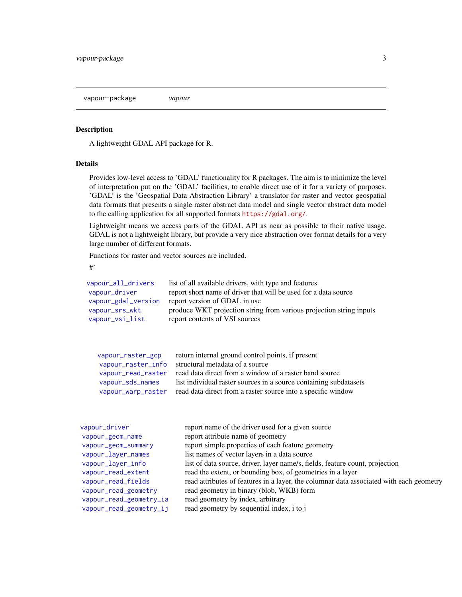<span id="page-2-0"></span>vapour-package *vapour*

# Description

A lightweight GDAL API package for R.

# Details

Provides low-level access to 'GDAL' functionality for R packages. The aim is to minimize the level of interpretation put on the 'GDAL' facilities, to enable direct use of it for a variety of purposes. 'GDAL' is the 'Geospatial Data Abstraction Library' a translator for raster and vector geospatial data formats that presents a single raster abstract data model and single vector abstract data model to the calling application for all supported formats <https://gdal.org/>.

Lightweight means we access parts of the GDAL API as near as possible to their native usage. GDAL is not a lightweight library, but provide a very nice abstraction over format details for a very large number of different formats.

Functions for raster and vector sources are included.

#'

| vapour_all_drivers<br>vapour_driver<br>vapour_gdal_version<br>vapour_srs_wkt<br>vapour_vsi_list         | list of all available drivers, with type and features<br>report short name of driver that will be used for a data source<br>report version of GDAL in use<br>produce WKT projection string from various projection string inputs<br>report contents of VSI sources                  |  |
|---------------------------------------------------------------------------------------------------------|-------------------------------------------------------------------------------------------------------------------------------------------------------------------------------------------------------------------------------------------------------------------------------------|--|
| vapour_raster_gcp<br>vapour_raster_info<br>vapour_read_raster<br>vapour_sds_names<br>vapour_warp_raster | return internal ground control points, if present<br>structural metadata of a source<br>read data direct from a window of a raster band source<br>list individual raster sources in a source containing subdatasets<br>read data direct from a raster source into a specific window |  |
| vapour_driver                                                                                           | report name of the driver used for a given source                                                                                                                                                                                                                                   |  |

| vapour_ur_ver           | report hanne of the driver used for a given source                                      |
|-------------------------|-----------------------------------------------------------------------------------------|
| vapour_geom_name        | report attribute name of geometry                                                       |
| vapour_geom_summary     | report simple properties of each feature geometry                                       |
| vapour_layer_names      | list names of vector layers in a data source                                            |
| vapour_layer_info       | list of data source, driver, layer name/s, fields, feature count, projection            |
| vapour_read_extent      | read the extent, or bounding box, of geometries in a layer                              |
| vapour_read_fields      | read attributes of features in a layer, the columnar data associated with each geometry |
| vapour_read_geometry    | read geometry in binary (blob, WKB) form                                                |
| vapour_read_geometry_ia | read geometry by index, arbitrary                                                       |
| vapour_read_geometry_ij | read geometry by sequential index, i to j                                               |
|                         |                                                                                         |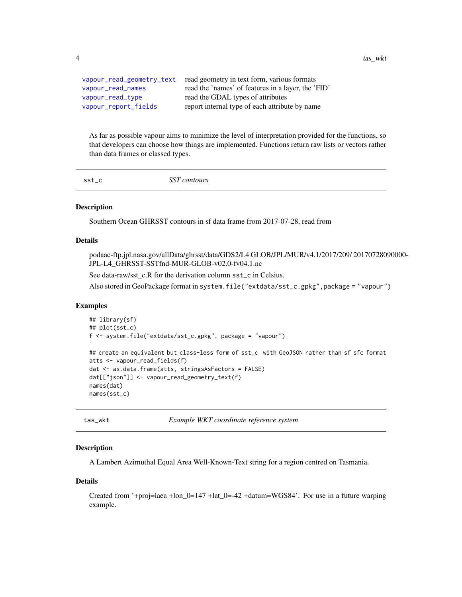<span id="page-3-0"></span>4 tas\_wkt tas\_wkt tas\_wkt tas\_wkt tas\_wkt tas\_wkt tas\_wkt tas\_wkt tas\_wkt tas\_wkt tas\_wkt tas\_wkt tas\_wkt tas\_

| vapour_read_geometry_text | read geometry in text form, various formats        |
|---------------------------|----------------------------------------------------|
| vapour_read_names         | read the 'names' of features in a layer, the 'FID' |
| vapour_read_type          | read the GDAL types of attributes                  |
| vapour_report_fields      | report internal type of each attribute by name     |

As far as possible vapour aims to minimize the level of interpretation provided for the functions, so that developers can choose how things are implemented. Functions return raw lists or vectors rather than data frames or classed types.

sst\_c *SST contours*

# **Description**

Southern Ocean GHRSST contours in sf data frame from 2017-07-28, read from

### Details

podaac-ftp.jpl.nasa.gov/allData/ghrsst/data/GDS2/L4 GLOB/JPL/MUR/v4.1/2017/209/ 20170728090000- JPL-L4\_GHRSST-SSTfnd-MUR-GLOB-v02.0-fv04.1.nc

See data-raw/sst\_c.R for the derivation column sst\_c in Celsius.

Also stored in GeoPackage format in system.file("extdata/sst\_c.gpkg",package = "vapour")

#### Examples

```
## library(sf)
## plot(sst_c)
f <- system.file("extdata/sst_c.gpkg", package = "vapour")
## create an equivalent but class-less form of sst_c with GeoJSON rather than sf sfc format
atts <- vapour_read_fields(f)
dat <- as.data.frame(atts, stringsAsFactors = FALSE)
dat[["json"]] <- vapour_read_geometry_text(f)
names(dat)
names(sst_c)
```
tas\_wkt *Example WKT coordinate reference system*

# Description

A Lambert Azimuthal Equal Area Well-Known-Text string for a region centred on Tasmania.

#### Details

Created from '+proj=laea +lon\_0=147 +lat\_0=-42 +datum=WGS84'. For use in a future warping example.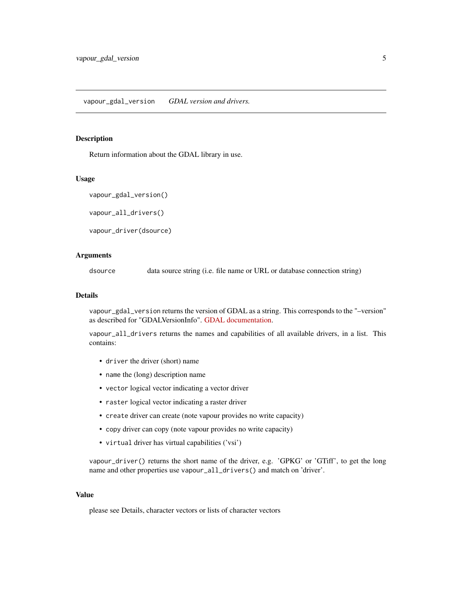<span id="page-4-2"></span><span id="page-4-0"></span>vapour\_gdal\_version *GDAL version and drivers.*

#### <span id="page-4-1"></span>Description

Return information about the GDAL library in use.

#### Usage

```
vapour_gdal_version()
```
vapour\_all\_drivers()

vapour\_driver(dsource)

# Arguments

dsource data source string (i.e. file name or URL or database connection string)

# Details

vapour\_gdal\_version returns the version of GDAL as a string. This corresponds to the "–version" as described for "GDALVersionInfo". [GDAL documentation.](https://gdal.org/)

vapour\_all\_drivers returns the names and capabilities of all available drivers, in a list. This contains:

- driver the driver (short) name
- name the (long) description name
- vector logical vector indicating a vector driver
- raster logical vector indicating a raster driver
- create driver can create (note vapour provides no write capacity)
- copy driver can copy (note vapour provides no write capacity)
- virtual driver has virtual capabilities ('vsi')

vapour\_driver() returns the short name of the driver, e.g. 'GPKG' or 'GTiff', to get the long name and other properties use vapour\_all\_drivers() and match on 'driver'.

# Value

please see Details, character vectors or lists of character vectors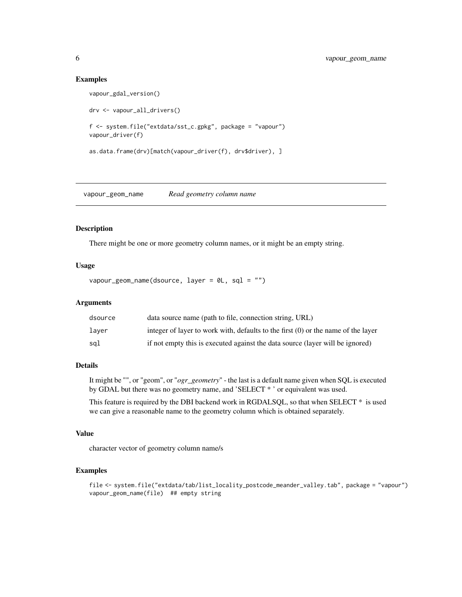# Examples

```
vapour_gdal_version()
drv <- vapour_all_drivers()
f <- system.file("extdata/sst_c.gpkg", package = "vapour")
vapour_driver(f)
as.data.frame(drv)[match(vapour_driver(f), drv$driver), ]
```
<span id="page-5-1"></span>vapour\_geom\_name *Read geometry column name*

# Description

There might be one or more geometry column names, or it might be an empty string.

# Usage

```
vapour_geom_name(dsource, layer = 0L, sql = "")
```
# Arguments

| dsource | data source name (path to file, connection string, URL)                           |
|---------|-----------------------------------------------------------------------------------|
| laver   | integer of layer to work with, defaults to the first (0) or the name of the layer |
| sal     | if not empty this is executed against the data source (layer will be ignored)     |

# Details

It might be "", or "geom", or "*ogr\_geometry*" - the last is a default name given when SQL is executed by GDAL but there was no geometry name, and 'SELECT \* ' or equivalent was used.

This feature is required by the DBI backend work in RGDALSQL, so that when SELECT \* is used we can give a reasonable name to the geometry column which is obtained separately.

#### Value

character vector of geometry column name/s

```
file <- system.file("extdata/tab/list_locality_postcode_meander_valley.tab", package = "vapour")
vapour_geom_name(file) ## empty string
```
<span id="page-5-0"></span>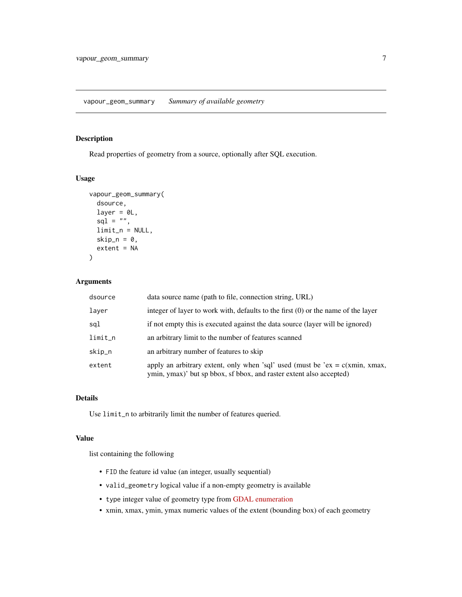# <span id="page-6-1"></span><span id="page-6-0"></span>Description

Read properties of geometry from a source, optionally after SQL execution.

# Usage

```
vapour_geom_summary(
  dsource,
  layer = <math>ØL</math>,sql = ",
  limit_n = NULL,
  skip_n = 0,
  extent = NA
)
```
# Arguments

| dsource | data source name (path to file, connection string, URL)                                                                                               |
|---------|-------------------------------------------------------------------------------------------------------------------------------------------------------|
| layer   | integer of layer to work with, defaults to the first $(0)$ or the name of the layer                                                                   |
| sql     | if not empty this is executed against the data source (layer will be ignored)                                                                         |
| limit_n | an arbitrary limit to the number of features scanned                                                                                                  |
| skip_n  | an arbitrary number of features to skip                                                                                                               |
| extent  | apply an arbitrary extent, only when 'sql' used (must be 'ex = $c(xmin, xmax,$<br>ymin, ymax)' but sp bbox, sf bbox, and raster extent also accepted) |

# Details

Use limit\_n to arbitrarily limit the number of features queried.

# Value

list containing the following

- FID the feature id value (an integer, usually sequential)
- valid\_geometry logical value if a non-empty geometry is available
- type integer value of geometry type from [GDAL enumeration](https://gdal.org/doxygen/ogr__core_8h.html#a800236a0d460ef66e687b7b65610f12a)
- xmin, xmax, ymin, ymax numeric values of the extent (bounding box) of each geometry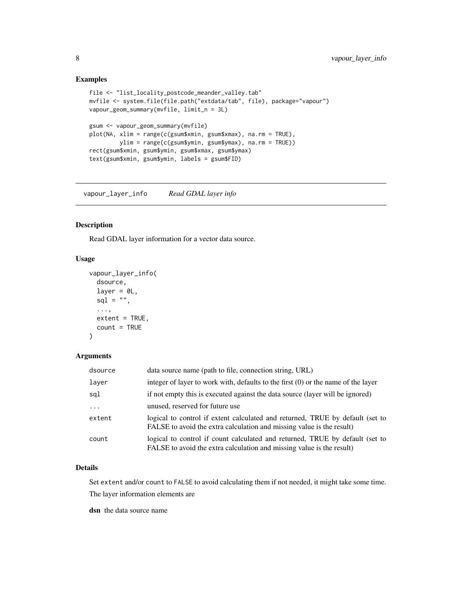# <span id="page-7-0"></span>Examples

```
file <- "list_locality_postcode_meander_valley.tab"
mvfile <- system.file(file.path("extdata/tab", file), package="vapour")
vapour_geom_summary(mvfile, limit_n = 3L)
gsum <- vapour_geom_summary(mvfile)
plot(NA, xlim = range(c(gsum$xmin, gsum$xmax), na.rm = TRUE),
        ylim = range(c(gsum$ymin, gsum$ymax), na.rm = TRUE))
rect(gsum$xmin, gsum$ymin, gsum$xmax, gsum$ymax)
text(gsum$xmin, gsum$ymin, labels = gsum$FID)
```
<span id="page-7-1"></span>vapour\_layer\_info *Read GDAL layer info*

#### Description

Read GDAL layer information for a vector data source.

# Usage

```
vapour_layer_info(
  dsource,
  layer = \theta L,
  sq1 = "",...,
  extent = TRUE,count = TRUE
\lambda
```
# Arguments

| dsource                 | data source name (path to file, connection string, URL)                                                                                                |
|-------------------------|--------------------------------------------------------------------------------------------------------------------------------------------------------|
| layer                   | integer of layer to work with, defaults to the first $(0)$ or the name of the layer                                                                    |
| sql                     | if not empty this is executed against the data source (layer will be ignored)                                                                          |
| $\cdot$ $\cdot$ $\cdot$ | unused, reserved for future use                                                                                                                        |
| extent                  | logical to control if extent calculated and returned, TRUE by default (set to<br>FALSE to avoid the extra calculation and missing value is the result) |
| count                   | logical to control if count calculated and returned, TRUE by default (set to<br>FALSE to avoid the extra calculation and missing value is the result)  |

# Details

Set extent and/or count to FALSE to avoid calculating them if not needed, it might take some time. The layer information elements are

dsn the data source name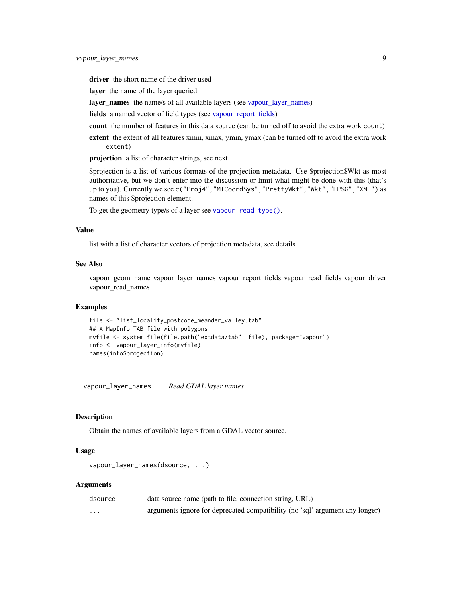<span id="page-8-0"></span>driver the short name of the driver used

layer the name of the layer queried

layer\_names the name/s of all available layers (see [vapour\\_layer\\_names\)](#page-8-1)

fields a named vector of field types (see [vapour\\_report\\_fields\)](#page-22-1)

count the number of features in this data source (can be turned off to avoid the extra work count)

extent the extent of all features xmin, xmax, ymin, ymax (can be turned off to avoid the extra work extent)

projection a list of character strings, see next

\$projection is a list of various formats of the projection metadata. Use \$projection\$Wkt as most authoritative, but we don't enter into the discussion or limit what might be done with this (that's up to you). Currently we see c("Proj4","MICoordSys","PrettyWkt","Wkt","EPSG","XML") as names of this \$projection element.

To get the geometry type/s of a layer see [vapour\\_read\\_type\(\)](#page-14-1).

# Value

list with a list of character vectors of projection metadata, see details

# See Also

vapour\_geom\_name vapour\_layer\_names vapour\_report\_fields vapour\_read\_fields vapour\_driver vapour read names

# Examples

```
file <- "list_locality_postcode_meander_valley.tab"
## A MapInfo TAB file with polygons
mvfile <- system.file(file.path("extdata/tab", file), package="vapour")
info <- vapour_layer_info(mvfile)
names(info$projection)
```
<span id="page-8-1"></span>vapour\_layer\_names *Read GDAL layer names*

#### Description

Obtain the names of available layers from a GDAL vector source.

# Usage

```
vapour_layer_names(dsource, ...)
```
# Arguments

| dsource  | data source name (path to file, connection string, URL)                      |
|----------|------------------------------------------------------------------------------|
| $\cdots$ | arguments ignore for deprecated compatibility (no 'sql' argument any longer) |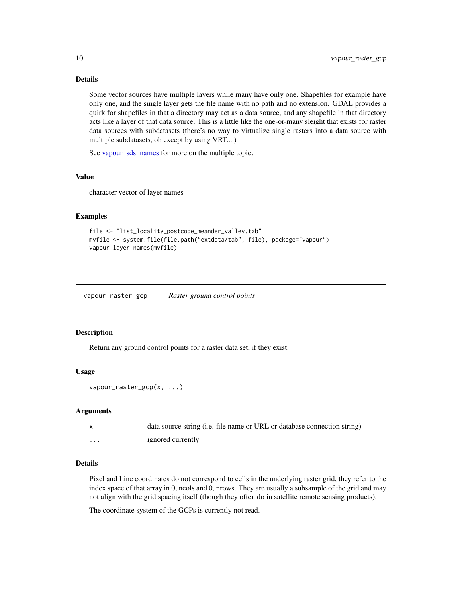# Details

Some vector sources have multiple layers while many have only one. Shapefiles for example have only one, and the single layer gets the file name with no path and no extension. GDAL provides a quirk for shapefiles in that a directory may act as a data source, and any shapefile in that directory acts like a layer of that data source. This is a little like the one-or-many sleight that exists for raster data sources with subdatasets (there's no way to virtualize single rasters into a data source with multiple subdatasets, oh except by using VRT....)

See [vapour\\_sds\\_names](#page-23-1) for more on the multiple topic.

#### Value

character vector of layer names

# Examples

```
file <- "list_locality_postcode_meander_valley.tab"
mvfile <- system.file(file.path("extdata/tab", file), package="vapour")
vapour_layer_names(mvfile)
```
<span id="page-9-1"></span>vapour\_raster\_gcp *Raster ground control points*

#### Description

Return any ground control points for a raster data set, if they exist.

### Usage

```
vapour_raster_gcp(x, ...)
```
#### Arguments

|   | data source string (i.e. file name or URL or database connection string) |
|---|--------------------------------------------------------------------------|
| . | ignored currently                                                        |

#### Details

Pixel and Line coordinates do not correspond to cells in the underlying raster grid, they refer to the index space of that array in 0, ncols and 0, nrows. They are usually a subsample of the grid and may not align with the grid spacing itself (though they often do in satellite remote sensing products).

The coordinate system of the GCPs is currently not read.

<span id="page-9-0"></span>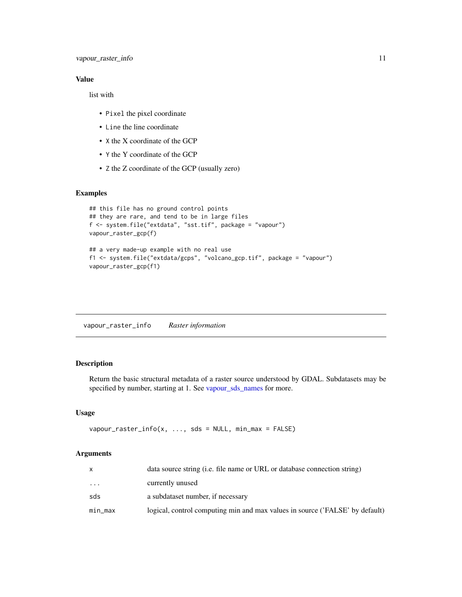# <span id="page-10-0"></span>Value

list with

- Pixel the pixel coordinate
- Line the line coordinate
- X the X coordinate of the GCP
- Y the Y coordinate of the GCP
- Z the Z coordinate of the GCP (usually zero)

# Examples

```
## this file has no ground control points
## they are rare, and tend to be in large files
f <- system.file("extdata", "sst.tif", package = "vapour")
vapour_raster_gcp(f)
## a very made-up example with no real use
f1 <- system.file("extdata/gcps", "volcano_gcp.tif", package = "vapour")
vapour_raster_gcp(f1)
```
<span id="page-10-1"></span>vapour\_raster\_info *Raster information*

# Description

Return the basic structural metadata of a raster source understood by GDAL. Subdatasets may be specified by number, starting at 1. See [vapour\\_sds\\_names](#page-23-1) for more.

#### Usage

```
vapour_raster_info(x, \dots, sds = NULL, min_max = FALSE)
```
#### **Arguments**

|         | data source string ( <i>i.e.</i> file name or URL or database connection string) |
|---------|----------------------------------------------------------------------------------|
| .       | currently unused                                                                 |
| sds     | a subdataset number, if necessary                                                |
| min_max | logical, control computing min and max values in source ('FALSE' by default)     |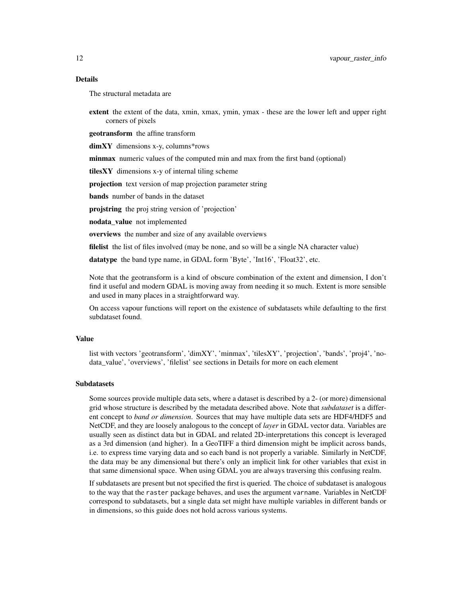#### Details

The structural metadata are

extent the extent of the data, xmin, xmax, ymin, ymax - these are the lower left and upper right corners of pixels

geotransform the affine transform

dimXY dimensions x-y, columns\*rows

minmax numeric values of the computed min and max from the first band (optional)

 $tilesXY$  dimensions x-y of internal tiling scheme

projection text version of map projection parameter string

bands number of bands in the dataset

projstring the proj string version of 'projection'

nodata value not implemented

overviews the number and size of any available overviews

filelist the list of files involved (may be none, and so will be a single NA character value)

datatype the band type name, in GDAL form 'Byte', 'Int16', 'Float32', etc.

Note that the geotransform is a kind of obscure combination of the extent and dimension, I don't find it useful and modern GDAL is moving away from needing it so much. Extent is more sensible and used in many places in a straightforward way.

On access vapour functions will report on the existence of subdatasets while defaulting to the first subdataset found.

#### Value

list with vectors 'geotransform', 'dimXY', 'minmax', 'tilesXY', 'projection', 'bands', 'proj4', 'nodata\_value', 'overviews', 'filelist' see sections in Details for more on each element

# Subdatasets

Some sources provide multiple data sets, where a dataset is described by a 2- (or more) dimensional grid whose structure is described by the metadata described above. Note that *subdataset* is a different concept to *band or dimension*. Sources that may have multiple data sets are HDF4/HDF5 and NetCDF, and they are loosely analogous to the concept of *layer* in GDAL vector data. Variables are usually seen as distinct data but in GDAL and related 2D-interpretations this concept is leveraged as a 3rd dimension (and higher). In a GeoTIFF a third dimension might be implicit across bands, i.e. to express time varying data and so each band is not properly a variable. Similarly in NetCDF, the data may be any dimensional but there's only an implicit link for other variables that exist in that same dimensional space. When using GDAL you are always traversing this confusing realm.

If subdatasets are present but not specified the first is queried. The choice of subdataset is analogous to the way that the raster package behaves, and uses the argument varname. Variables in NetCDF correspond to subdatasets, but a single data set might have multiple variables in different bands or in dimensions, so this guide does not hold across various systems.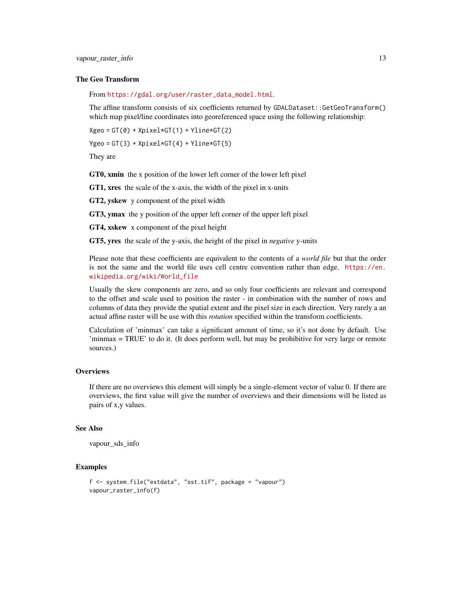# The Geo Transform

From [https://gdal.org/user/raster\\_data\\_model.html](https://gdal.org/user/raster_data_model.html).

The affine transform consists of six coefficients returned by GDALDataset::GetGeoTransform() which map pixel/line coordinates into georeferenced space using the following relationship:

```
Xgeo = GT(0) + Xpixel*GT(1) + Yline*GT(2)
```

```
Ygeo = GT(3) + Xpixel*GT(4) + Yline*GT(5)
```
They are

GT0, xmin the x position of the lower left corner of the lower left pixel

GT1, xres the scale of the x-axis, the width of the pixel in x-units

GT2, yskew y component of the pixel width

GT3, ymax the y position of the upper left corner of the upper left pixel

GT4, xskew x component of the pixel height

GT5, yres the scale of the y-axis, the height of the pixel in *negative* y-units

Please note that these coefficients are equivalent to the contents of a *world file* but that the order is not the same and the world file uses cell centre convention rather than edge. [https://en.](https://en.wikipedia.org/wiki/World_file) [wikipedia.org/wiki/World\\_file](https://en.wikipedia.org/wiki/World_file)

Usually the skew components are zero, and so only four coefficients are relevant and correspond to the offset and scale used to position the raster - in combination with the number of rows and columns of data they provide the spatial extent and the pixel size in each direction. Very rarely a an actual affine raster will be use with this *rotation* specified within the transform coefficients.

Calculation of 'minmax' can take a significant amount of time, so it's not done by default. Use 'minmax = TRUE' to do it. (It does perform well, but may be prohibitive for very large or remote sources.)

### **Overviews**

If there are no overviews this element will simply be a single-element vector of value 0. If there are overviews, the first value will give the number of overviews and their dimensions will be listed as pairs of x,y values.

# See Also

```
vapour_sds_info
```

```
f <- system.file("extdata", "sst.tif", package = "vapour")
vapour_raster_info(f)
```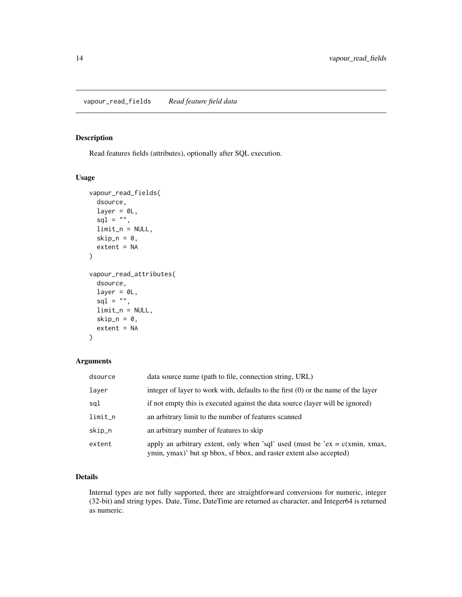# <span id="page-13-1"></span><span id="page-13-0"></span>Description

Read features fields (attributes), optionally after SQL execution.

# Usage

```
vapour_read_fields(
  dsource,
  layer = 0L,
  sql = ",
  limit_n = NULL,
  skip_n = 0,
  extent = NA
)
vapour_read_attributes(
  dsource,
  layer = ØL,
  \text{sgl} = \text{"}",
  limit_n = NULL,skip_n = 0,
  extent = NA
)
```
# Arguments

| dsource | data source name (path to file, connection string, URL)                                                                                               |
|---------|-------------------------------------------------------------------------------------------------------------------------------------------------------|
| layer   | integer of layer to work with, defaults to the first $(0)$ or the name of the layer                                                                   |
| sql     | if not empty this is executed against the data source (layer will be ignored)                                                                         |
| limit_n | an arbitrary limit to the number of features scanned                                                                                                  |
| skip_n  | an arbitrary number of features to skip                                                                                                               |
| extent  | apply an arbitrary extent, only when 'sql' used (must be 'ex = $c(xmin, xmax,$<br>ymin, ymax)' but sp bbox, sf bbox, and raster extent also accepted) |

# Details

Internal types are not fully supported, there are straightforward conversions for numeric, integer (32-bit) and string types. Date, Time, DateTime are returned as character, and Integer64 is returned as numeric.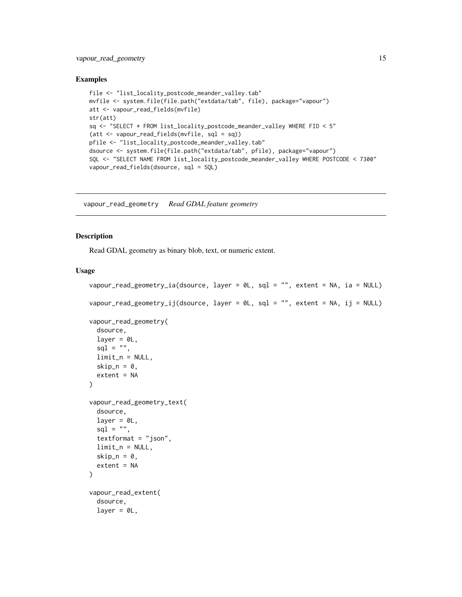# <span id="page-14-0"></span>vapour\_read\_geometry 15

#### Examples

```
file <- "list_locality_postcode_meander_valley.tab"
mvfile <- system.file(file.path("extdata/tab", file), package="vapour")
att <- vapour_read_fields(mvfile)
str(att)
sq <- "SELECT * FROM list_locality_postcode_meander_valley WHERE FID < 5"
(att <- vapour_read_fields(mvfile, sql = sq))
pfile <- "list_locality_postcode_meander_valley.tab"
dsource <- system.file(file.path("extdata/tab", pfile), package="vapour")
SQL <- "SELECT NAME FROM list_locality_postcode_meander_valley WHERE POSTCODE < 7300"
vapour_read_fields(dsource, sql = SQL)
```
<span id="page-14-2"></span>vapour\_read\_geometry *Read GDAL feature geometry*

# <span id="page-14-1"></span>Description

Read GDAL geometry as binary blob, text, or numeric extent.

# Usage

```
vapour_read_geometry_ia(dsource, layer = 0L, sql = "", extent = NA, ia = NULL)
vapour_read_geometry_ij(dsource, layer = 0L, sql = "", extent = NA, ij = NULL)
vapour_read_geometry(
  dsource,
  layer = \theta L,
  sq1 = "",limit_n = NULL,
  skip_n = 0,
  extent = NA
\lambdavapour_read_geometry_text(
  dsource,
  layer = \theta L,
  sql = "",textformat = "json",limit_n = NULL,skip_n = 0,
  extent = NA)
vapour_read_extent(
  dsource,
  layer = 0L,
```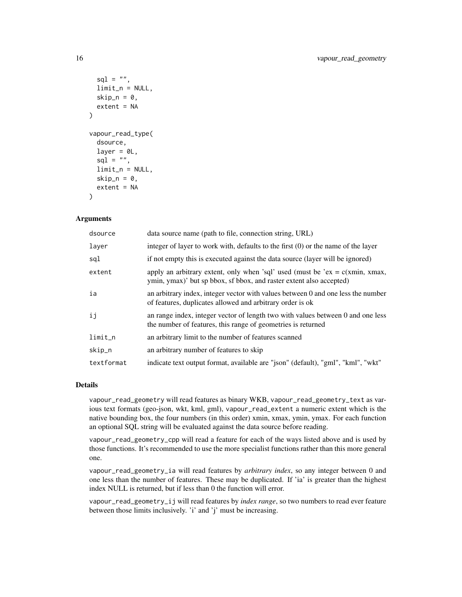```
sql = "",limit_n = NULL,skip_n = 0,
  extent = NA)
vapour_read_type(
  dsource,
  layer = <math>ØL</math>,sq1 = "",limit_n = NULL,
  skip_n = 0,extent = NA
)
```
#### Arguments

| dsource    | data source name (path to file, connection string, URL)                                                                                               |
|------------|-------------------------------------------------------------------------------------------------------------------------------------------------------|
| layer      | integer of layer to work with, defaults to the first $(0)$ or the name of the layer                                                                   |
| sql        | if not empty this is executed against the data source (layer will be ignored)                                                                         |
| extent     | apply an arbitrary extent, only when 'sql' used (must be 'ex = $c(xmin, xmax,$<br>ymin, ymax)' but sp bbox, sf bbox, and raster extent also accepted) |
| ia         | an arbitrary index, integer vector with values between 0 and one less the number<br>of features, duplicates allowed and arbitrary order is ok         |
| ij         | an range index, integer vector of length two with values between 0 and one less<br>the number of features, this range of geometries is returned       |
| $limit_n$  | an arbitrary limit to the number of features scanned                                                                                                  |
| skip_n     | an arbitrary number of features to skip                                                                                                               |
| textformat | indicate text output format, available are "json" (default), "gml", "kml", "wkt"                                                                      |

# Details

vapour\_read\_geometry will read features as binary WKB, vapour\_read\_geometry\_text as various text formats (geo-json, wkt, kml, gml), vapour\_read\_extent a numeric extent which is the native bounding box, the four numbers (in this order) xmin, xmax, ymin, ymax. For each function an optional SQL string will be evaluated against the data source before reading.

vapour\_read\_geometry\_cpp will read a feature for each of the ways listed above and is used by those functions. It's recommended to use the more specialist functions rather than this more general one.

vapour\_read\_geometry\_ia will read features by *arbitrary index*, so any integer between 0 and one less than the number of features. These may be duplicated. If 'ia' is greater than the highest index NULL is returned, but if less than 0 the function will error.

vapour\_read\_geometry\_ij will read features by *index range*, so two numbers to read ever feature between those limits inclusively. 'i' and 'j' must be increasing.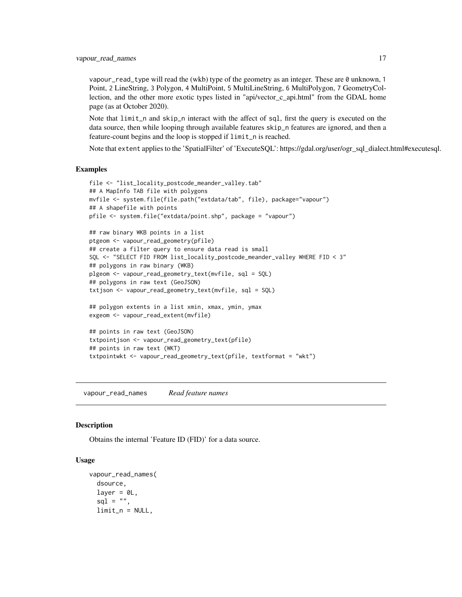<span id="page-16-0"></span>vapour\_read\_type will read the (wkb) type of the geometry as an integer. These are 0 unknown, 1 Point, 2 LineString, 3 Polygon, 4 MultiPoint, 5 MultiLineString, 6 MultiPolygon, 7 GeometryCollection, and the other more exotic types listed in "api/vector\_c\_api.html" from the GDAL home page (as at October 2020).

Note that limit\_n and skip\_n interact with the affect of sql, first the query is executed on the data source, then while looping through available features skip\_n features are ignored, and then a feature-count begins and the loop is stopped if limit\_n is reached.

Note that extent applies to the 'SpatialFilter' of 'ExecuteSQL': https://gdal.org/user/ogr\_sql\_dialect.html#executesql.

#### Examples

```
file <- "list_locality_postcode_meander_valley.tab"
## A MapInfo TAB file with polygons
mvfile <- system.file(file.path("extdata/tab", file), package="vapour")
## A shapefile with points
pfile <- system.file("extdata/point.shp", package = "vapour")
## raw binary WKB points in a list
ptgeom <- vapour_read_geometry(pfile)
## create a filter query to ensure data read is small
SQL <- "SELECT FID FROM list_locality_postcode_meander_valley WHERE FID < 3"
## polygons in raw binary (WKB)
plgeom <- vapour_read_geometry_text(mvfile, sql = SQL)
## polygons in raw text (GeoJSON)
txtjson <- vapour_read_geometry_text(mvfile, sql = SQL)
## polygon extents in a list xmin, xmax, ymin, ymax
exgeom <- vapour_read_extent(mvfile)
## points in raw text (GeoJSON)
txtpointjson <- vapour_read_geometry_text(pfile)
## points in raw text (WKT)
txtpointwkt <- vapour_read_geometry_text(pfile, textformat = "wkt")
```
<span id="page-16-1"></span>vapour\_read\_names *Read feature names*

#### **Description**

Obtains the internal 'Feature ID (FID)' for a data source.

# Usage

```
vapour_read_names(
  dsource,
  layer = <math>OL</math>,sq1 = "",limit_n = NULL,
```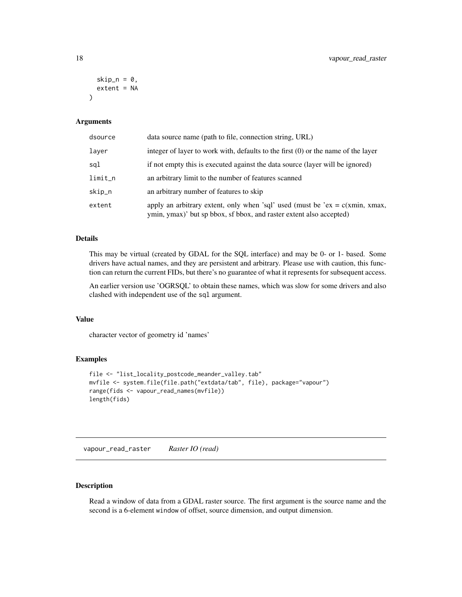```
skip_n = 0,
 extent = NA)
```
#### Arguments

| dsource | data source name (path to file, connection string, URL)                                                                                               |
|---------|-------------------------------------------------------------------------------------------------------------------------------------------------------|
| layer   | integer of layer to work with, defaults to the first $(0)$ or the name of the layer                                                                   |
| sql     | if not empty this is executed against the data source (layer will be ignored)                                                                         |
| limit_n | an arbitrary limit to the number of features scanned                                                                                                  |
| skip_n  | an arbitrary number of features to skip                                                                                                               |
| extent  | apply an arbitrary extent, only when 'sql' used (must be 'ex = $c(xmin, xmax,$<br>ymin, ymax)' but sp bbox, sf bbox, and raster extent also accepted) |

# Details

This may be virtual (created by GDAL for the SQL interface) and may be 0- or 1- based. Some drivers have actual names, and they are persistent and arbitrary. Please use with caution, this function can return the current FIDs, but there's no guarantee of what it represents for subsequent access.

An earlier version use 'OGRSQL' to obtain these names, which was slow for some drivers and also clashed with independent use of the sql argument.

# Value

character vector of geometry id 'names'

# Examples

```
file <- "list_locality_postcode_meander_valley.tab"
mvfile <- system.file(file.path("extdata/tab", file), package="vapour")
range(fids <- vapour_read_names(mvfile))
length(fids)
```
<span id="page-17-1"></span>vapour\_read\_raster *Raster IO (read)*

# Description

Read a window of data from a GDAL raster source. The first argument is the source name and the second is a 6-element window of offset, source dimension, and output dimension.

<span id="page-17-0"></span>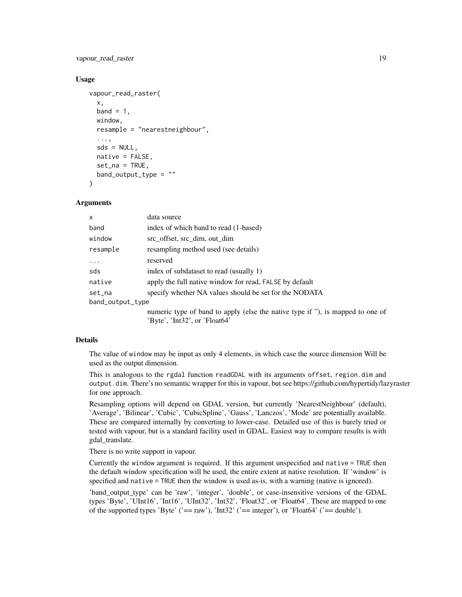# vapour\_read\_raster 19

# Usage

```
vapour_read_raster(
  x,
 band = 1,
 window,
  resample = "nearestneighbour",
  ...,
  sds = NULL,
  native = FALSE,set\_na = TRUE,band\_output\_type = ")
```
# Arguments

| $\mathsf{x}$     | data source                                                                    |
|------------------|--------------------------------------------------------------------------------|
| band             | index of which band to read (1-based)                                          |
| window           | src_offset, src_dim, out_dim                                                   |
| resample         | resampling method used (see details)                                           |
| $\ddots$         | reserved                                                                       |
| sds              | index of subdataset to read (usually 1)                                        |
| native           | apply the full native window for read, FALSE by default                        |
| set_na           | specify whether NA values should be set for the NODATA                         |
| band_output_type |                                                                                |
|                  | numeric type of band to apply (else the native type if "), is mapped to one of |
|                  | 'Byte', 'Int32', or 'Float64'                                                  |

# Details

The value of window may be input as only 4 elements, in which case the source dimension Will be used as the output dimension.

This is analogous to the rgdal function readGDAL with its arguments offset, region.dim and output.dim. There's no semantic wrapper for this in vapour, but see https://github.com/hypertidy/lazyraster for one approach.

Resampling options will depend on GDAL version, but currently 'NearestNeighbour' (default), 'Average', 'Bilinear', 'Cubic', 'CubicSpline', 'Gauss', 'Lanczos', 'Mode' are potentially available. These are compared internally by converting to lower-case. Detailed use of this is barely tried or tested with vapour, but is a standard facility used in GDAL. Easiest way to compare results is with gdal\_translate.

There is no write support in vapour.

Currently the window argument is required. If this argument unspecified and native = TRUE then the default window specification will be used, the entire extent at native resolution. If 'window' is specified and native = TRUE then the window is used as-is, with a warning (native is ignored).

'band\_output\_type' can be 'raw', 'integer', 'double', or case-insensitive versions of the GDAL types 'Byte', 'UInt16', 'Int16', 'UInt32', 'Int32', 'Float32', or 'Float64'. These are mapped to one of the supported types 'Byte' ('== raw'), 'Int32' ('== integer'), or 'Float64' ('== double').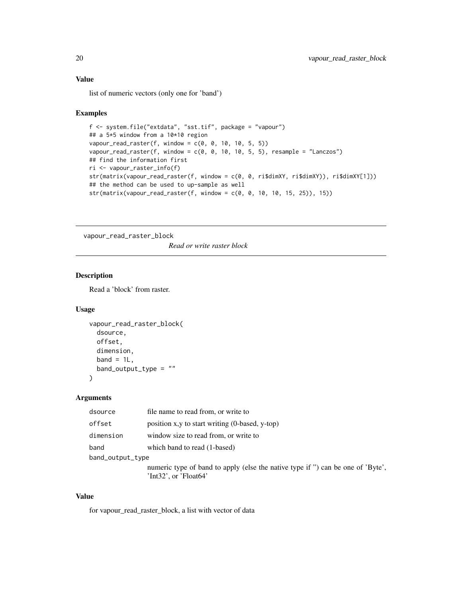# <span id="page-19-0"></span>Value

list of numeric vectors (only one for 'band')

#### Examples

```
f <- system.file("extdata", "sst.tif", package = "vapour")
## a 5*5 window from a 10*10 region
vapour_read_raster(f, window = c(0, 0, 10, 10, 5, 5))
vapour_read_raster(f, window = c(0, 0, 10, 10, 5, 5), resample = "Lanczos")
## find the information first
ri <- vapour_raster_info(f)
str(matrix(vapour_read_raster(f, window = c(0, 0, ri$dimXY, ri$dimXY)), ri$dimXY[1]))
## the method can be used to up-sample as well
str(matrix(vapour\_read\_raster(f, window = c(0, 0, 10, 10, 15, 25)), 15))
```
vapour\_read\_raster\_block

*Read or write raster block*

# Description

Read a 'block' from raster.

# Usage

```
vapour_read_raster_block(
  dsource,
  offset,
  dimension,
  band = 1L,
  band_output_type = "\mathcal{L}
```
# Arguments

| dsource          | file name to read from, or write to                                                                                     |
|------------------|-------------------------------------------------------------------------------------------------------------------------|
| offset           | position x, y to start writing $(0$ -based, y-top)                                                                      |
| dimension        | window size to read from, or write to                                                                                   |
| band             | which band to read (1-based)                                                                                            |
| band_output_type |                                                                                                                         |
|                  | numeric type of band to apply (else the native type if ") can be one of 'Byte',<br>$\text{Int32}$ , or $\text{Fload64}$ |

# Value

for vapour\_read\_raster\_block, a list with vector of data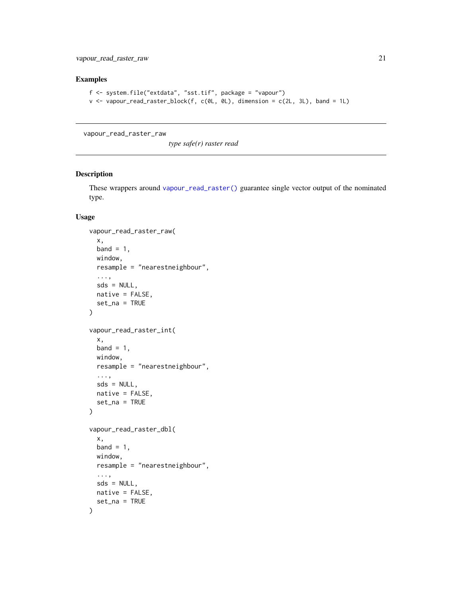# <span id="page-20-0"></span>Examples

```
f <- system.file("extdata", "sst.tif", package = "vapour")
v <- vapour_read_raster_block(f, c(0L, 0L), dimension = c(2L, 3L), band = 1L)
```
vapour\_read\_raster\_raw

*type safe(r) raster read*

# Description

These wrappers around [vapour\\_read\\_raster\(\)](#page-17-1) guarantee single vector output of the nominated type.

#### Usage

```
vapour_read_raster_raw(
  x,
 band = 1,
 window,
 resample = "nearestneighbour",
  ...,
 sds = NULL,native = FALSE,
 set_na = TRUE
\lambdavapour_read_raster_int(
 x,
 band = 1,
 window,
 resample = "nearestneighbour",
  ...,
 sds = NULL,native = FALSE,
  set_na = TRUE
\lambdavapour_read_raster_dbl(
  x,
 band = 1,
 window,
  resample = "nearestneighbour",
  ...,
 sds = NULL,native = FALSE,
  set_na = TRUE
)
```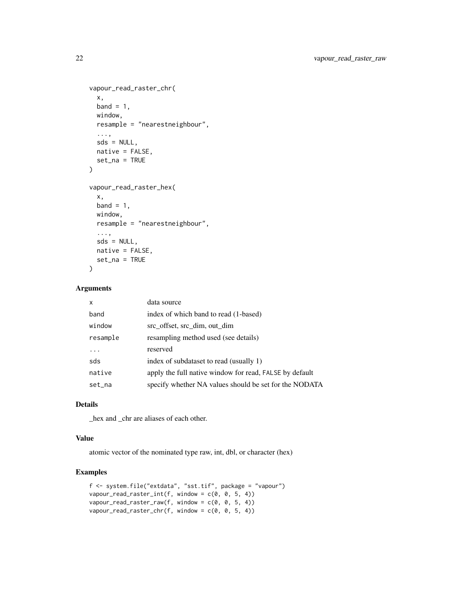```
vapour_read_raster_chr(
  x,
 band = 1,
 window,
 resample = "nearestneighbour",
  ...,
 sds = NULL,native = FALSE,
 set_na = TRUE
\mathcal{L}vapour_read_raster_hex(
 x,
 band = 1,
 window,
 resample = "nearestneighbour",
  ...,
 sds = NULL,native = FALSE,
 set_na = TRUE
\mathcal{L}
```
# Arguments

| x        | data source                                             |
|----------|---------------------------------------------------------|
| band     | index of which band to read (1-based)                   |
| window   | src_offset, src_dim, out_dim                            |
| resample | resampling method used (see details)                    |
| .        | reserved                                                |
| sds      | index of subdataset to read (usually 1)                 |
| native   | apply the full native window for read, FALSE by default |
| set_na   | specify whether NA values should be set for the NODATA  |

# Details

\_hex and \_chr are aliases of each other.

# Value

atomic vector of the nominated type raw, int, dbl, or character (hex)

```
f <- system.file("extdata", "sst.tif", package = "vapour")
vapour_read_raster_int(f, window = c(0, 0, 5, 4))
vapour_read_raster_raw(f, window = c(0, 0, 5, 4))
vapour_read_raster_chr(f, window = c(0, 0, 5, 4))
```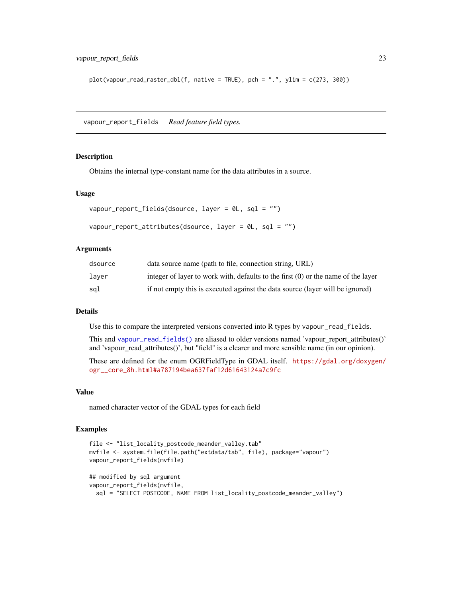<span id="page-22-0"></span> $plot(vapour\_read\_raster\_dbl(f, native = TRUE), pch = ".", ylim = c(273, 300))$ 

<span id="page-22-1"></span>vapour\_report\_fields *Read feature field types.*

#### Description

Obtains the internal type-constant name for the data attributes in a source.

#### Usage

```
vapour_report_fields(dsource, layer = 0L, sql = "")
vapour_report_attributes(dsource, layer = 0L, sql = "")
```
# Arguments

| dsource | data source name (path to file, connection string, URL)                           |
|---------|-----------------------------------------------------------------------------------|
| laver   | integer of layer to work with, defaults to the first (0) or the name of the layer |
| sal     | if not empty this is executed against the data source (layer will be ignored)     |

# Details

Use this to compare the interpreted versions converted into R types by vapour\_read\_fields.

This and [vapour\\_read\\_fields\(\)](#page-13-1) are aliased to older versions named 'vapour\_report\_attributes()' and 'vapour\_read\_attributes()', but "field" is a clearer and more sensible name (in our opinion).

These are defined for the enum OGRFieldType in GDAL itself. [https://gdal.org/doxygen/](https://gdal.org/doxygen/ogr__core_8h.html#a787194bea637faf12d61643124a7c9fc) [ogr\\_\\_core\\_8h.html#a787194bea637faf12d61643124a7c9fc](https://gdal.org/doxygen/ogr__core_8h.html#a787194bea637faf12d61643124a7c9fc)

#### Value

named character vector of the GDAL types for each field

```
file <- "list_locality_postcode_meander_valley.tab"
mvfile <- system.file(file.path("extdata/tab", file), package="vapour")
vapour_report_fields(mvfile)
## modified by sql argument
vapour_report_fields(mvfile,
 sql = "SELECT POSTCODE, NAME FROM list_locality_postcode_meander_valley")
```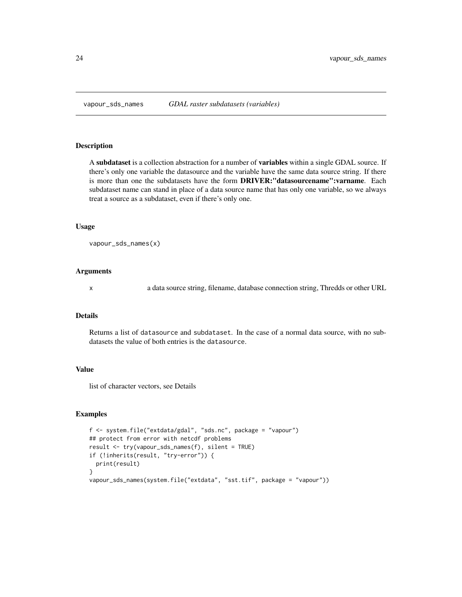<span id="page-23-1"></span><span id="page-23-0"></span>

# Description

A subdataset is a collection abstraction for a number of variables within a single GDAL source. If there's only one variable the datasource and the variable have the same data source string. If there is more than one the subdatasets have the form DRIVER:"datasourcename":varname. Each subdataset name can stand in place of a data source name that has only one variable, so we always treat a source as a subdataset, even if there's only one.

### Usage

```
vapour_sds_names(x)
```
# Arguments

x a data source string, filename, database connection string, Thredds or other URL

# Details

Returns a list of datasource and subdataset. In the case of a normal data source, with no subdatasets the value of both entries is the datasource.

# Value

list of character vectors, see Details

```
f <- system.file("extdata/gdal", "sds.nc", package = "vapour")
## protect from error with netcdf problems
result <- try(vapour_sds_names(f), silent = TRUE)
if (!inherits(result, "try-error")) {
 print(result)
}
vapour_sds_names(system.file("extdata", "sst.tif", package = "vapour"))
```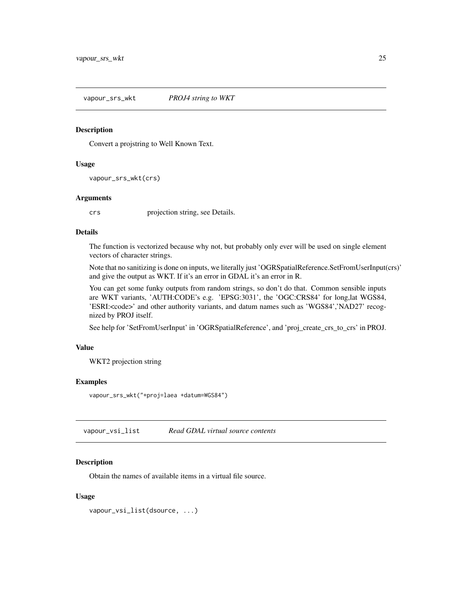<span id="page-24-1"></span><span id="page-24-0"></span>vapour\_srs\_wkt *PROJ4 string to WKT*

#### Description

Convert a projstring to Well Known Text.

#### Usage

```
vapour_srs_wkt(crs)
```
# Arguments

crs projection string, see Details.

# Details

The function is vectorized because why not, but probably only ever will be used on single element vectors of character strings.

Note that no sanitizing is done on inputs, we literally just 'OGRSpatialReference.SetFromUserInput(crs)' and give the output as WKT. If it's an error in GDAL it's an error in R.

You can get some funky outputs from random strings, so don't do that. Common sensible inputs are WKT variants, 'AUTH:CODE's e.g. 'EPSG:3031', the 'OGC:CRS84' for long,lat WGS84, 'ESRI:<code>' and other authority variants, and datum names such as 'WGS84','NAD27' recognized by PROJ itself.

See help for 'SetFromUserInput' in 'OGRSpatialReference', and 'proj\_create\_crs\_to\_crs' in PROJ.

# Value

WKT2 projection string

# Examples

```
vapour_srs_wkt("+proj=laea +datum=WGS84")
```
<span id="page-24-2"></span>vapour\_vsi\_list *Read GDAL virtual source contents*

# Description

Obtain the names of available items in a virtual file source.

# Usage

vapour\_vsi\_list(dsource, ...)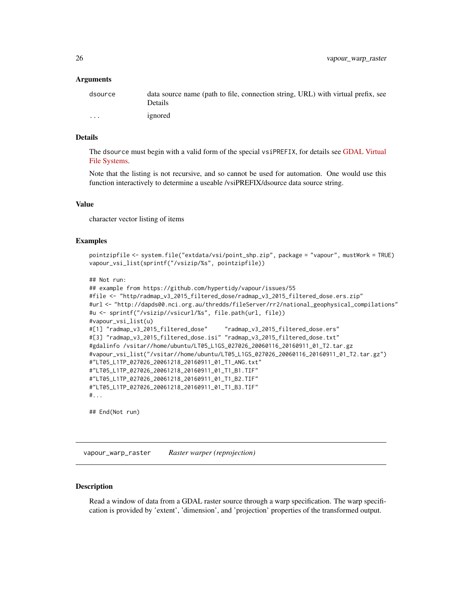#### <span id="page-25-0"></span>Arguments

| dsource  | data source name (path to file, connection string, URL) with virtual prefix, see<br>Details |
|----------|---------------------------------------------------------------------------------------------|
| $\cdots$ | ignored                                                                                     |

# Details

The dsource must begin with a valid form of the special vsiPREFIX, for details see [GDAL Virtual](https://gdal.org/user/virtual_file_systems.html) [File Systems.](https://gdal.org/user/virtual_file_systems.html)

Note that the listing is not recursive, and so cannot be used for automation. One would use this function interactively to determine a useable /vsiPREFIX/dsource data source string.

#### Value

character vector listing of items

# Examples

```
pointzipfile <- system.file("extdata/vsi/point_shp.zip", package = "vapour", mustWork = TRUE)
vapour_vsi_list(sprintf("/vsizip/%s", pointzipfile))
```

```
## Not run:
```

```
## example from https://github.com/hypertidy/vapour/issues/55
#file <- "http/radmap_v3_2015_filtered_dose/radmap_v3_2015_filtered_dose.ers.zip"
#url <- "http://dapds00.nci.org.au/thredds/fileServer/rr2/national_geophysical_compilations"
#u <- sprintf("/vsizip//vsicurl/%s", file.path(url, file))
#vapour_vsi_list(u)
#[1] "radmap_v3_2015_filtered_dose" "radmap_v3_2015_filtered_dose.ers"
#[3] "radmap_v3_2015_filtered_dose.isi" "radmap_v3_2015_filtered_dose.txt"
#gdalinfo /vsitar//home/ubuntu/LT05_L1GS_027026_20060116_20160911_01_T2.tar.gz
#vapour_vsi_list("/vsitar//home/ubuntu/LT05_L1GS_027026_20060116_20160911_01_T2.tar.gz")
#"LT05_L1TP_027026_20061218_20160911_01_T1_ANG.txt"
#"LT05_L1TP_027026_20061218_20160911_01_T1_B1.TIF"
#"LT05_L1TP_027026_20061218_20160911_01_T1_B2.TIF"
#"LT05_L1TP_027026_20061218_20160911_01_T1_B3.TIF"
#...
```
## End(Not run)

<span id="page-25-1"></span>vapour\_warp\_raster *Raster warper (reprojection)*

# **Description**

Read a window of data from a GDAL raster source through a warp specification. The warp specification is provided by 'extent', 'dimension', and 'projection' properties of the transformed output.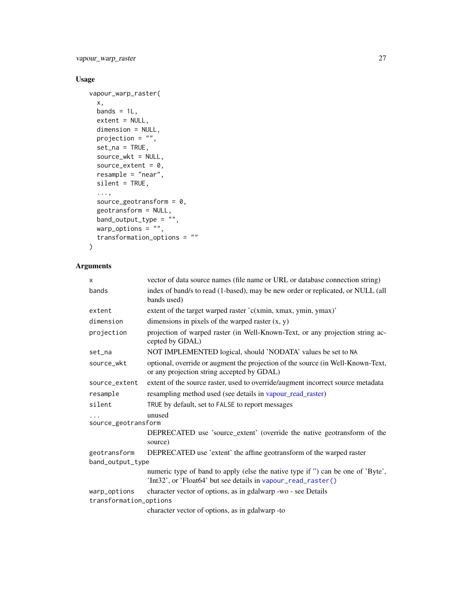<span id="page-26-0"></span>vapour\_warp\_raster 27

# Usage

```
vapour_warp_raster(
  x,
  bands = 1L,
  extent = NULL,
  dimension = NULL,
  projection = ",
  set\_na = TRUE,source_wkt = NULL,
  source_extent = 0,
  resample = "near",
  silent = TRUE,
  ...,
  source_geotransform = 0,
  geotransform = NULL,
  band_output_type = \overset{\cdots}{\phantom{\vdots}}",
  warp_options = ",
  transformation_options = ""
\mathcal{L}
```
# Arguments

| $\times$               | vector of data source names (file name or URL or database connection string)                                                                     |
|------------------------|--------------------------------------------------------------------------------------------------------------------------------------------------|
| bands                  | index of band/s to read (1-based), may be new order or replicated, or NULL (all<br>bands used)                                                   |
| extent                 | extent of the target warped raster 'c(xmin, xmax, ymin, ymax)'                                                                                   |
| dimension              | dimensions in pixels of the warped raster $(x, y)$                                                                                               |
| projection             | projection of warped raster (in Well-Known-Text, or any projection string ac-<br>cepted by GDAL)                                                 |
| set_na                 | NOT IMPLEMENTED logical, should 'NODATA' values be set to NA                                                                                     |
| source_wkt             | optional, override or augment the projection of the source (in Well-Known-Text,<br>or any projection string accepted by GDAL)                    |
| source_extent          | extent of the source raster, used to override/augment incorrect source metadata                                                                  |
| resample               | resampling method used (see details in vapour_read_raster)                                                                                       |
| silent                 | TRUE by default, set to FALSE to report messages                                                                                                 |
| source_geotransform    | unused                                                                                                                                           |
|                        | DEPRECATED use 'source_extent' (override the native geotransform of the<br>source)                                                               |
| geotransform           | DEPRECATED use 'extent' the affine geotransform of the warped raster                                                                             |
| band_output_type       |                                                                                                                                                  |
|                        | numeric type of band to apply (else the native type if ") can be one of 'Byte',<br>'Int32', or 'Float64' but see details in vapour_read_raster() |
| warp_options           | character vector of options, as in gdalwarp -wo - see Details                                                                                    |
| transformation_options |                                                                                                                                                  |
|                        | character vector of options, as in gdalwarp -to                                                                                                  |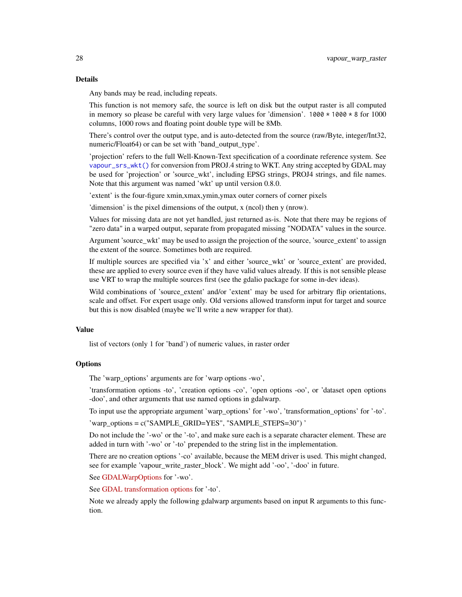#### <span id="page-27-0"></span>Details

Any bands may be read, including repeats.

This function is not memory safe, the source is left on disk but the output raster is all computed in memory so please be careful with very large values for 'dimension'. 1000  $\star$  1000  $\star$  8 for 1000 columns, 1000 rows and floating point double type will be 8Mb.

There's control over the output type, and is auto-detected from the source (raw/Byte, integer/Int32, numeric/Float64) or can be set with 'band\_output\_type'.

'projection' refers to the full Well-Known-Text specification of a coordinate reference system. See [vapour\\_srs\\_wkt\(\)](#page-24-1) for conversion from PROJ.4 string to WKT. Any string accepted by GDAL may be used for 'projection' or 'source\_wkt', including EPSG strings, PROJ4 strings, and file names. Note that this argument was named 'wkt' up until version 0.8.0.

'extent' is the four-figure xmin,xmax,ymin,ymax outer corners of corner pixels

'dimension' is the pixel dimensions of the output, x (ncol) then y (nrow).

Values for missing data are not yet handled, just returned as-is. Note that there may be regions of "zero data" in a warped output, separate from propagated missing "NODATA" values in the source.

Argument 'source\_wkt' may be used to assign the projection of the source, 'source\_extent' to assign the extent of the source. Sometimes both are required.

If multiple sources are specified via 'x' and either 'source\_wkt' or 'source\_extent' are provided, these are applied to every source even if they have valid values already. If this is not sensible please use VRT to wrap the multiple sources first (see the gdalio package for some in-dev ideas).

Wild combinations of 'source extent' and/or 'extent' may be used for arbitrary flip orientations, scale and offset. For expert usage only. Old versions allowed transform input for target and source but this is now disabled (maybe we'll write a new wrapper for that).

#### Value

list of vectors (only 1 for 'band') of numeric values, in raster order

# **Options**

The 'warp options' arguments are for 'warp options -wo',

'transformation options -to', 'creation options -co', 'open options -oo', or 'dataset open options -doo', and other arguments that use named options in gdalwarp.

To input use the appropriate argument 'warp\_options' for '-wo', 'transformation\_options' for '-to'. 'warp\_options = c("SAMPLE\_GRID=YES", "SAMPLE\_STEPS=30") '

Do not include the '-wo' or the '-to', and make sure each is a separate character element. These are added in turn with '-wo' or '-to' prepended to the string list in the implementation.

There are no creation options '-co' available, because the MEM driver is used. This might changed, see for example 'vapour\_write\_raster\_block'. We might add '-oo', '-doo' in future.

See [GDALWarpOptions](https://gdal.org/api/gdalwarp_cpp.html#_CPPv4N15GDALWarpOptions16papszWarpOptionsE) for '-wo'.

See [GDAL transformation options](https://gdal.org/api/gdal_alg.html#_CPPv432GDALCreateGenImgProjTransformer212GDALDatasetH12GDALDatasetHPPc) for '-to'.

Note we already apply the following gdalwarp arguments based on input R arguments to this function.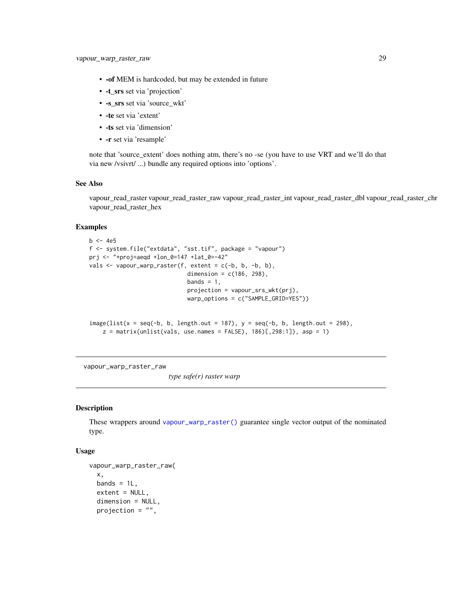- <span id="page-28-0"></span>• -of MEM is hardcoded, but may be extended in future
- -t\_srs set via 'projection'
- -s\_srs set via 'source\_wkt'
- -te set via 'extent'
- -ts set via 'dimension'
- -r set via 'resample'

note that 'source extent' does nothing atm, there's no -se (you have to use VRT and we'll do that via new /vsivrt/ ...) bundle any required options into 'options'.

# See Also

vapour\_read\_raster vapour\_read\_raster\_raw vapour\_read\_raster\_int vapour\_read\_raster\_dbl vapour\_read\_raster\_chr vapour\_read\_raster\_hex

# Examples

```
b \le -4e5f <- system.file("extdata", "sst.tif", package = "vapour")
prj <- "+proj=aeqd +lon_0=147 +lat_0=-42"
vals <- vapour_warp_raster(f, extent = c(-b, b, -b, b),
                             dimension = c(186, 298),
                             bands = 1,
                             projection = vapour_srs_wkt(prj),
                             warp_options = c("SAMPLE_GRID=YES"))
```

```
image(list(x = seq(-b, b, length.out = 187), y = seq(-b, b, length.out = 298),z = matrix(unlist(vals, use.name = FALSE), 186)[, 298:1]), asp = 1)
```
vapour\_warp\_raster\_raw

*type safe(r) raster warp*

#### Description

These wrappers around [vapour\\_warp\\_raster\(\)](#page-25-1) guarantee single vector output of the nominated type.

# Usage

```
vapour_warp_raster_raw(
 x,
 bands = 1L,
 extent = NULL,dimension = NULL,
 projection = "",
```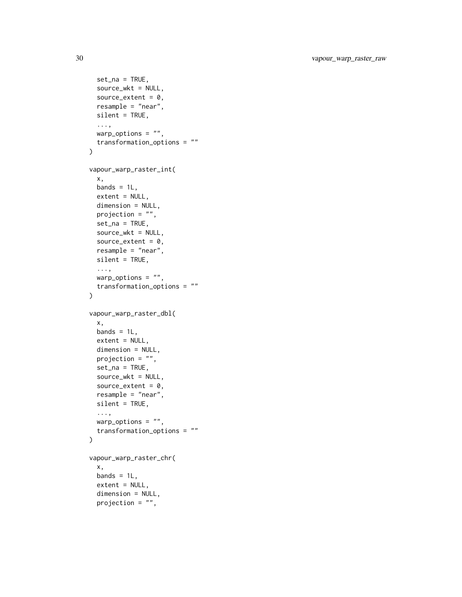```
set_na = TRUE,
 source_wkt = NULL,
 source_extent = 0,
 resample = "near",
  silent = TRUE,
  ...,
 warp_options = ",
 transformation_options = ""
\mathcal{L}vapour_warp_raster_int(
 x,
 bands = 1L,
 extent = NULL,dimension = NULL,
 projection = "",
 set_na = TRUE,
 source_wkt = NULL,
 source_extent = 0,
  resample = "near",
 silent = TRUE,
  ...,
 warp_ptions = "",
  transformation_options = ""
\mathcal{L}vapour_warp_raster_dbl(
 x,
 bands = 1L,
 extent = NULL,
 dimension = NULL,
 projection = "",
  set\_na = TRUE,source_wkt = NULL,
  source_extent = 0,
 resample = "near",
 silent = TRUE,
  ...,
 warp_options = ",
 transformation_options = ""
\mathcal{L}vapour_warp_raster_chr(
 x,
 bands = 1L,
 extent = NULL,dimension = NULL,
 projection = ",
```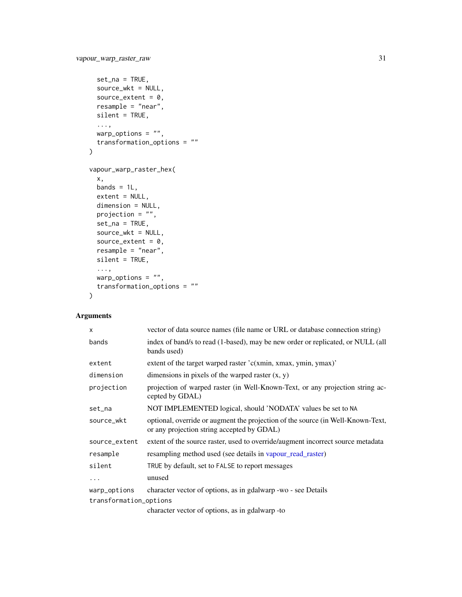```
set\_na = TRUE,source_wkt = NULL,
 source_extent = 0,
 resample = "near",
 silent = TRUE,
  ...,
 warp_options = ",
 transformation_options = ""
)
vapour_warp_raster_hex(
 x,
 bands = 1L,
 extent = NULL,dimension = NULL,
 projection = ",
 set_na = TRUE,
 source_wkt = NULL,
 source_extent = 0,
 resample = "near",
 silent = TRUE,
  ...,
 warp_options = ",
  transformation_options = ""
\mathcal{L}
```
# Arguments

| $\mathsf{x}$           | vector of data source names (file name or URL or database connection string)                                                  |
|------------------------|-------------------------------------------------------------------------------------------------------------------------------|
| bands                  | index of band/s to read (1-based), may be new order or replicated, or NULL (all<br>bands used)                                |
| extent                 | extent of the target warped raster $c(xmin, xmax, ymin, ymax)$                                                                |
| dimension              | dimensions in pixels of the warped raster $(x, y)$                                                                            |
| projection             | projection of warped raster (in Well-Known-Text, or any projection string ac-<br>cepted by GDAL)                              |
| set_na                 | NOT IMPLEMENTED logical, should 'NODATA' values be set to NA                                                                  |
| source_wkt             | optional, override or augment the projection of the source (in Well-Known-Text,<br>or any projection string accepted by GDAL) |
| source_extent          | extent of the source raster, used to override/augment incorrect source metadata                                               |
| resample               | resampling method used (see details in vapour_read_raster)                                                                    |
| silent                 | TRUE by default, set to FALSE to report messages                                                                              |
| .                      | unused                                                                                                                        |
| warp_options           | character vector of options, as in gdalwarp -wo - see Details                                                                 |
| transformation_options |                                                                                                                               |
|                        | character vector of options, as in gdalwarp -to                                                                               |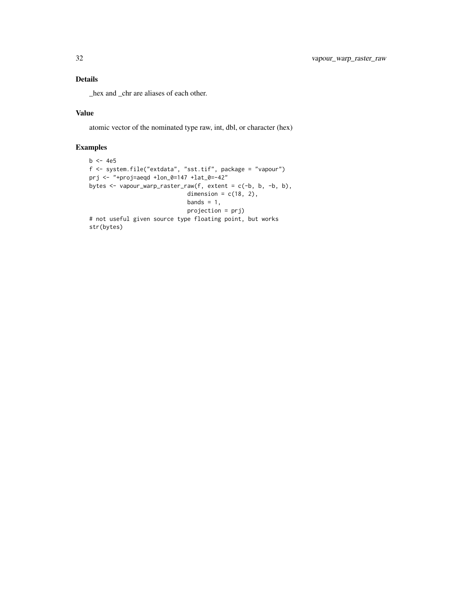# Details

\_hex and \_chr are aliases of each other.

# Value

atomic vector of the nominated type raw, int, dbl, or character (hex)

```
b \le -4e5f <- system.file("extdata", "sst.tif", package = "vapour")
prj <- "+proj=aeqd +lon_0=147 +lat_0=-42"
bytes <- vapour_warp_raster_raw(f, extent = c(-b, b, -b, b),
                             dimension = c(18, 2),
                             bands = 1,
                             projection = prj)
# not useful given source type floating point, but works
str(bytes)
```